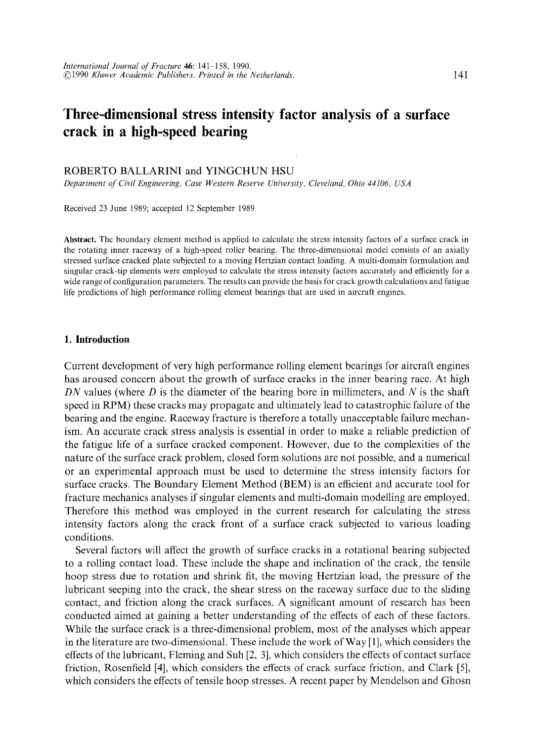#### ROBERTO BALLARINI and YINGCHUN HSU

*Department of Civil Engineering, Case Western Reserve University, Cleveland, Ohio 44106, USA* 

Received 23 June 1989; accepted 12 September 1989

**Abstract.** The boundary element method is applied to calculate the stress intensity factors of a surface crack in the rotating inner raceway of a high-speed roller bearing. The three-dimensional model consists of an axially stressed surface cracked plate subjected to a moving Hertzian contact loading. A multi-domain formulation and singular crack-tip elements were employed to calculate the stress intensity factors accurately and efficiently for a wide range of configuration parameters. The results can provide the basis for crack growth calculations and fatigue life predictions of high performance rolling element bearings that are used in aircraft engines.

#### **1. Introduction**

Current development of very high performance rolling element bearings for aircraft engines has aroused concern about the growth of surface cracks in the inner bearing race. At high *DN* values (where *D* is the diameter of the bearing bore in millimeters, and *N* is the shaft speed in RPM) these cracks may propagate and ultimately lead to catastrophic failure of the bearing and the engine. Raceway fracture is therefore a totally unacceptable failure mechanism. An accurate crack stress analysis is essential in order to make a reliable prediction of the fatigue life of a surface cracked component. However, due to the complexities of the nature of the surface crack problem, closed form solutions are not possible, and a numerical or an experimental approach must be used to determine the stress intensity factors for surface cracks. The Boundary Element Method (BEM) is an efficient and accurate tool for fracture mechanics analyses if singular elements and multi-domain modelling are employed. Therefore this method was employed in the current research for calculating the stress intensity factors along the crack front of a surface crack subjected to various loading conditions.

Several factors will affect the growth of surface cracks in a rotational bearing subjected to a rolling contact load. These include the shape and inclination of the crack, the tensile hoop stress due to rotation and shrink fit, the moving Hertzian load, the pressure of the lubricant seeping into the crack, the shear stress on the raceway surface due to the sliding contact, and friction along the crack surfaces. A significant amount of research has been conducted aimed at gaining a better understanding of the effects of each of these factors. While the surface crack is a three-dimensional problem, most of the analyses which appear in the literature are two-dimensional. These include the work of Way [1], which considers the effects of the lubricant, Fleming and Suh [2, 3], which considers the effects of contact surface friction, Rosenfield [4], which considers the effects of crack surface friction, and Clark [5], which considers the effects of tensile hoop stresses. A recent paper by Mendelson and Ghosn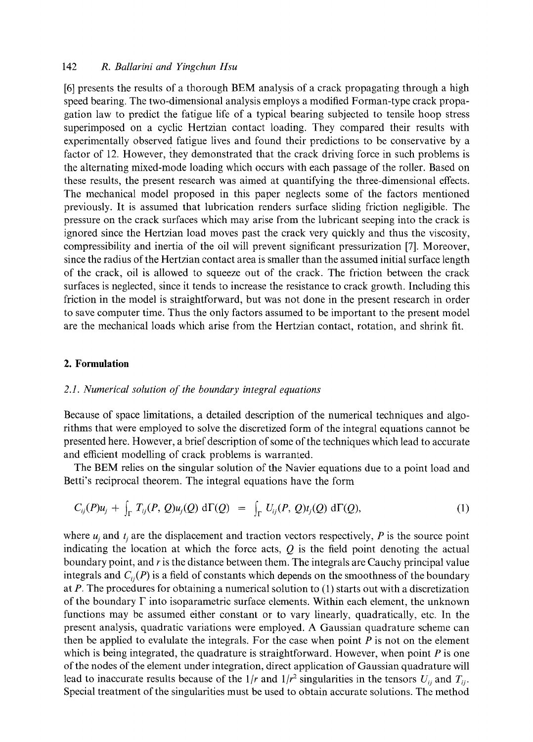[6] presents the results of a thorough BEM analysis of a crack propagating through a high speed bearing. The two-dimensional analysis employs a modified Forman-type crack propagation law to predict the fatigue life of a typical bearing subjected to tensile hoop stress superimposed on a cyclic Hertzian contact loading. They compared their results with experimentally observed fatigue lives and found their predictions to be conservative by a factor of 12. However, they demonstrated that the crack driving force in such problems is the alternating mixed-mode loading which occurs with each passage of the roller. Based on these results, the present research was aimed at quantifying the three-dimensional effects. The mechanical model proposed in this paper neglects some of the factors mentioned previously. It is assumed that lubrication renders surface sliding friction negligible. The pressure on the crack surfaces which may arise from the lubricant seeping into the crack is ignored since the Hertzian load moves past the crack very quickly and thus the viscosity, compressibility and inertia of the oil will prevent significant pressurization [7]. Moreover, since the radius of the Hertzian contact area is smaller than the assumed initial surface length of the crack, oil is allowed to squeeze out of the crack. The friction between the crack surfaces is neglected, since it tends to increase the resistance to crack growth. Including this friction in the model is straightforward, but was not done in the present research in order to save computer time. Thus the only factors assumed to be important to the present model are the mechanical loads which arise from the Hertzian contact, rotation, and shrink fit.

#### **2. Formulation**

### *2.1. Numerical solution of the boundary integral equations*

Because of space limitations, a detailed description of the numerical techniques and algorithms that were employed to solve the discretized form of the integral equations cannot be presented here. However, a brief description of some of the techniques which lead to accurate and efficient modelling of crack problems is warranted.

The BEM relies on the singular solution of the Navier equations due to a point load and Betti's reciprocal theorem. The integral equations have the form

$$
C_{ij}(P)u_j + \int_{\Gamma} T_{ij}(P,Q)u_j(Q) d\Gamma(Q) = \int_{\Gamma} U_{ij}(P,Q)t_j(Q) d\Gamma(Q), \qquad (1)
$$

where  $u_i$  and  $t_i$  are the displacement and traction vectors respectively, P is the source point indicating the location at which the force acts,  $Q$  is the field point denoting the actual boundary point, and  $r$  is the distance between them. The integrals are Cauchy principal value integrals and  $C_{ii}(P)$  is a field of constants which depends on the smoothness of the boundary at P. The procedures for obtaining a numerical solution to  $(1)$  starts out with a discretization of the boundary  $\Gamma$  into isoparametric surface elements. Within each element, the unknown functions may be assumed either constant or to vary linearly, quadratically, etc. In the present analysis, quadratic variations were employed. A Gaussian quadrature scheme can then be applied to evalulate the integrals. For the case when point  $P$  is not on the element which is being integrated, the quadrature is straightforward. However, when point  $P$  is one of the nodes of the element under integration, direct application of Gaussian quadrature will lead to inaccurate results because of the  $1/r$  and  $1/r^2$  singularities in the tensors  $U_{ij}$  and  $T_{ij}$ . Special treatment of the singularities must be used to obtain accurate solutions. The method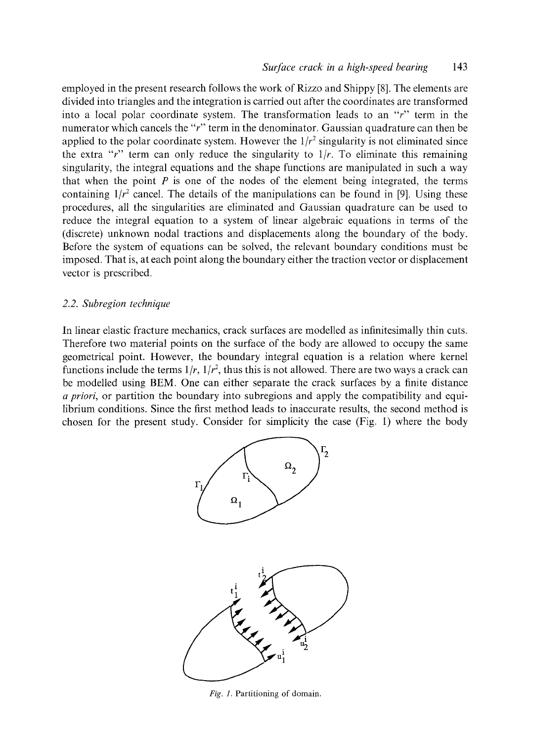employed in the present research follows the work of Rizzo and Shippy [8]. The elements are divided into triangles and the integration is carried out after the coordinates are transformed into a local polar coordinate system. The transformation leads to an "r" term in the numerator which cancels the *"r"* term in the denominator. Gaussian quadrature can then be applied to the polar coordinate system. However the  $1/r^2$  singularity is not eliminated since the extra "r" term can only reduce the singularity to  $1/r$ . To eliminate this remaining singularity, the integral equations and the shape functions are manipulated in such a way that when the point  $P$  is one of the nodes of the element being integrated, the terms containing  $1/r^2$  cancel. The details of the manipulations can be found in [9]. Using these procedures, all the singularities are eliminated and Gaussian quadrature can be used to reduce the integral equation to a system of linear algebraic equations in terms of the (discrete) unknown nodal tractions and displacements along the boundary of the body. Before the system of equations can be solved, the relevant boundary conditions must be imposed. That is, at each point along the boundary either the traction vector or displacement vector is prescribed.

### *2.2. Subregion technique*

In linear elastic fracture mechanics, crack surfaces are modelled as infinitesimally thin cuts. Therefore two material points on the surface of the body are allowed to occupy the same geometrical point. However, the boundary integral equation is a relation where kernel functions include the terms  $1/r$ ,  $1/r^2$ , thus this is not allowed. There are two ways a crack can be modelled using BEM. One can either separate the crack surfaces by a finite distance *a priori,* or partition the boundary into subregions and apply the compatibility and equilibrium conditions. Since the first method leads to inaccurate results, the second method is chosen for the present study. Consider for simplicity the case (Fig. 1) where the body



*Fig. 1.* Partitioning of domain.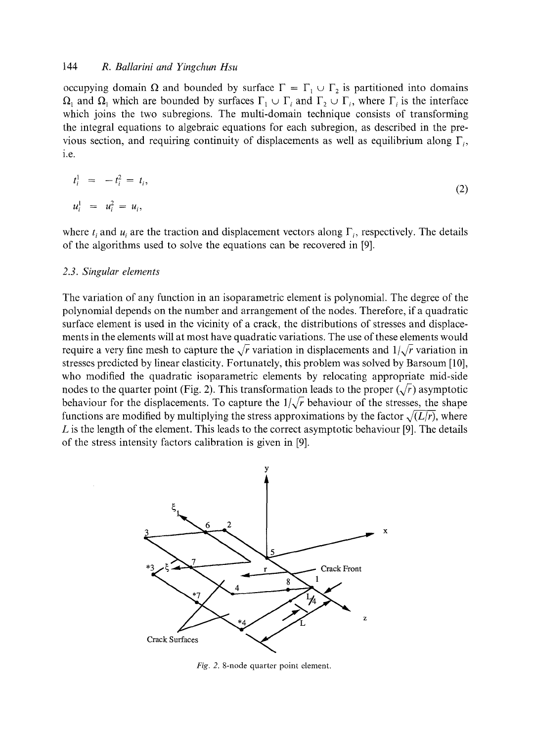occupying domain  $\Omega$  and bounded by surface  $\Gamma = \Gamma_1 \cup \Gamma_2$  is partitioned into domains  $\Omega_1$  and  $\Omega_1$  which are bounded by surfaces  $\Gamma_1 \cup \Gamma_i$  and  $\Gamma_2 \cup \Gamma_i$ , where  $\Gamma_i$  is the interface which joins the two subregions. The multi-domain technique consists of transforming the integral equations to algebraic equations for each subregion, as described in the previous section, and requiring continuity of displacements as well as equilibrium along  $\Gamma_i$ , i.e.

$$
t_i^1 = -t_i^2 = t_i,
$$
  
\n
$$
u_i^1 = u_i^2 = u_i,
$$
\n(2)

where  $t_i$  and  $u_i$  are the traction and displacement vectors along  $\Gamma_i$ , respectively. The details of the algorithms used to solve the equations can be recovered in [9].

#### *2.3. Singular elements*

The variation of any function in an isoparametric element is polynomial. The degree of the polynomial depends on the number and arrangement of the nodes. Therefore, if a quadratic surface element is used in the vicinity of a crack, the distributions of stresses and displacements in the elements will at most have quadratic variations. The use of these elements would require a very fine mesh to capture the  $\sqrt{r}$  variation in displacements and  $1/\sqrt{r}$  variation in stresses predicted by linear elasticity. Fortunately, this problem was solved by Barsoum [10], who modified the quadratic isoparametric elements by relocating appropriate mid-side nodes to the quarter point (Fig. 2). This transformation leads to the proper  $(\sqrt{r})$  asymptotic behaviour for the displacements. To capture the  $1/\sqrt{r}$  behaviour of the stresses, the shape functions are modified by multiplying the stress approximations by the factor  $\sqrt{(L/r)}$ , where  $L$  is the length of the element. This leads to the correct asymptotic behaviour [9]. The details of the stress intensity factors calibration is given in [9].



*Fig. 2.* 8-node quarter point element.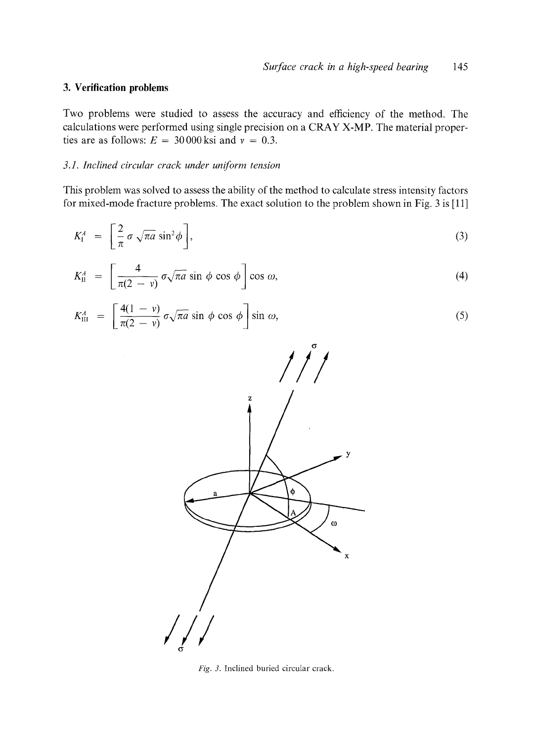# **3. Verification problems**

Two problems were studied to assess the accuracy and efficiency of the method. The calculations were performed using single precision on a CRAY X-MP. The material properties are as follows:  $E = 30000$  ksi and  $v = 0.3$ .

### *3.1. Inclined circular crack under uniform tension*

This problem was solved to assess the ability of the method to calculate stress intensity factors for mixed-mode fracture problems. The exact solution to the problem shown in Fig. 3 is [11]

$$
K_1^A = \left[\frac{2}{\pi}\,\sigma\,\sqrt{\pi a}\,\sin^2\phi\right],\tag{3}
$$

$$
K_{\rm II}^A = \left[ \frac{4}{\pi(2 - v)} \, \sigma \sqrt{\pi a} \sin \phi \, \cos \phi \right] \cos \omega, \tag{4}
$$

$$
K_{\text{III}}^A = \left[ \frac{4(1 - v)}{\pi(2 - v)} \sigma \sqrt{\pi a} \sin \phi \cos \phi \right] \sin \omega, \tag{5}
$$



*Fig. 3.* Inclined buried circular crack.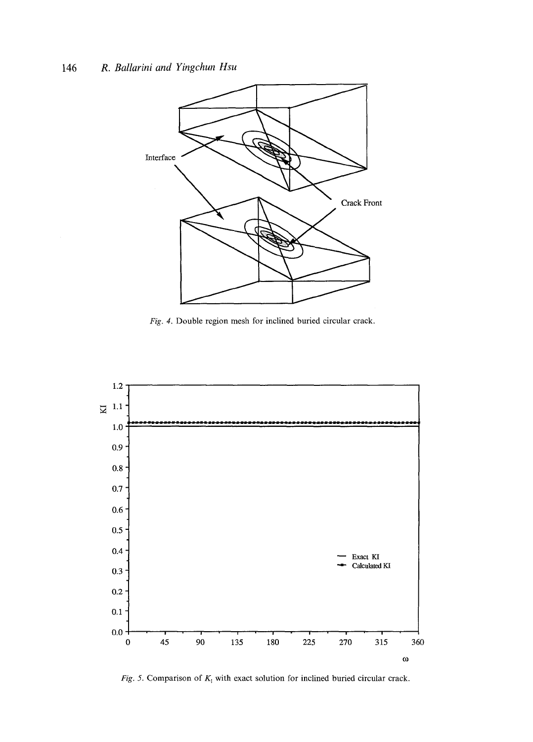

*Fig. 4.* Double region mesh for inclined buried circular crack.



*Fig. 5.* Comparison of  $K_1$  with exact solution for inclined buried circular crack.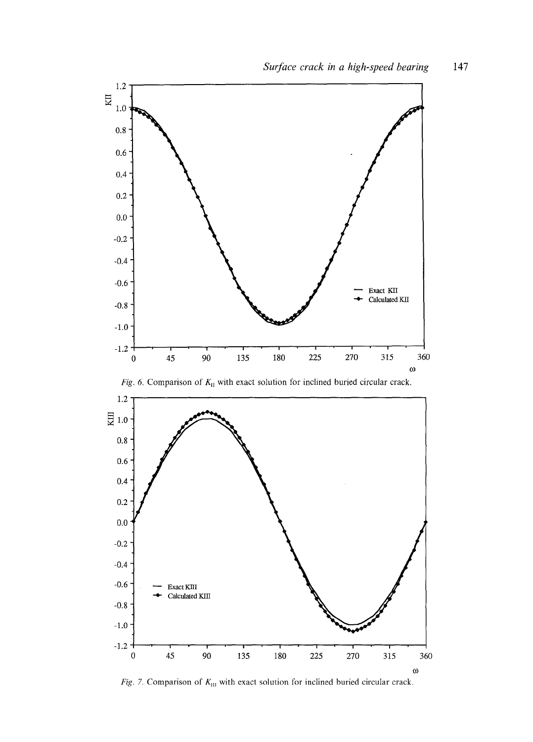

*Fig. 7.* Comparison of  $K_{\text{III}}$  with exact solution for inclined buried circular crack.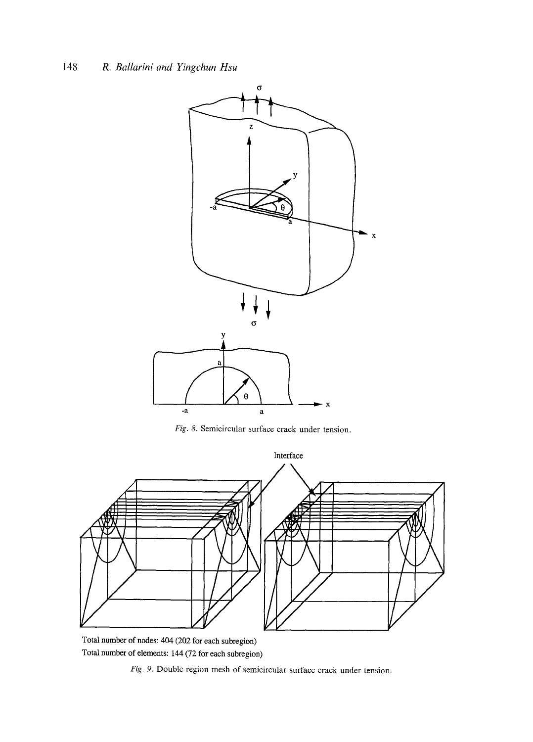

*Fig. 8.* Semicircular surface crack under tension.



Total number of nodes: 404 (202 for each subregion) Total number of elements: 144 (72 for each subregion)

*Fig. 9.* Double region mesh of semicircular surface crack under tension.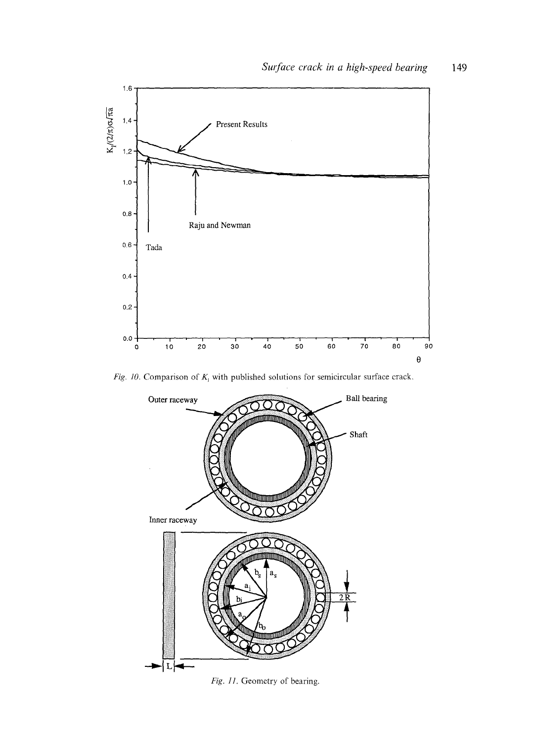

*Fig. 10.* Comparison of  $K<sub>1</sub>$  with published solutions for semicircular surface crack,



*Fig. 11.* Geometry of bearing.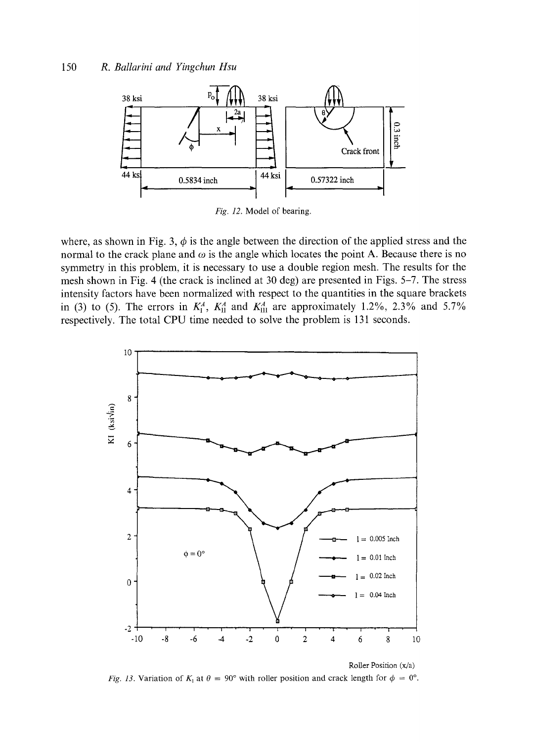

*Fig. 12.* Model of bearing.

where, as shown in Fig. 3,  $\phi$  is the angle between the direction of the applied stress and the normal to the crack plane and  $\omega$  is the angle which locates the point A. Because there is no symmetry in this problem, it is necessary to use a double region mesh. The results for the mesh shown in Fig. 4 (the crack is inclined at 30 deg) are presented in Figs. 5-7. The stress intensity factors have been normalized with respect to the quantities in the square brackets in (3) to (5). The errors in  $K_1^A$ ,  $K_{II}^A$  and  $K_{III}^A$  are approximately 1.2%, 2.3% and 5.7% respectively. The total CPU time needed to solve the problem is 131 seconds.



Roller Position (x/a) *Fig. 13.* Variation of  $K_1$  at  $\theta = 90^\circ$  with roller position and crack length for  $\phi = 0^\circ$ .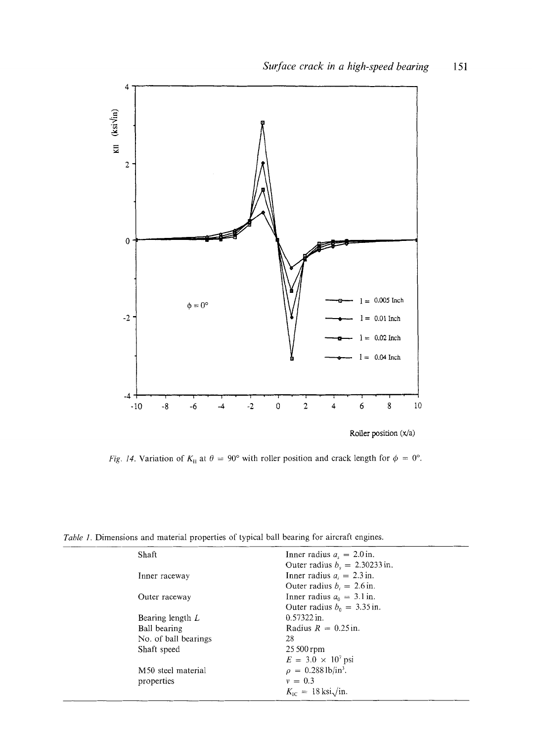

*Fig. 14.* Variation of  $K_{\text{H}}$  at  $\theta = 90^{\circ}$  with roller position and crack length for  $\phi = 0^{\circ}$ .

*Table 1.* Dimensions and material properties of typical ball bearing for aircraft engines.

|  | Shaft                          | Inner radius $a_{\rm s} = 2.0$ in.                 |  |
|--|--------------------------------|----------------------------------------------------|--|
|  |                                | Outer radius $bs = 2.30233$ in.                    |  |
|  | Inner raceway                  | Inner radius $a_i = 2.3$ in.                       |  |
|  |                                | Outer radius $b_i = 2.6$ in.                       |  |
|  | Outer raceway                  | Inner radius $a_0 = 3.1$ in.                       |  |
|  |                                | Outer radius $b_0 = 3.35$ in.                      |  |
|  | Bearing length L               | $0.57322$ in.                                      |  |
|  | Ball bearing                   | Radius $R = 0.25$ in.                              |  |
|  | No. of ball bearings           | 28                                                 |  |
|  | Shaft speed                    | 25 500 rpm                                         |  |
|  |                                | $E = 3.0 \times 10^{7}$ psi                        |  |
|  | M <sub>50</sub> steel material | $\rho = 0.288 \, \text{lb/in}^3$ .                 |  |
|  | properties                     | $v = 0.3$                                          |  |
|  |                                | $K_{\text{IC}} = 18 \text{ksi} \sqrt{\text{in}}$ . |  |
|  |                                |                                                    |  |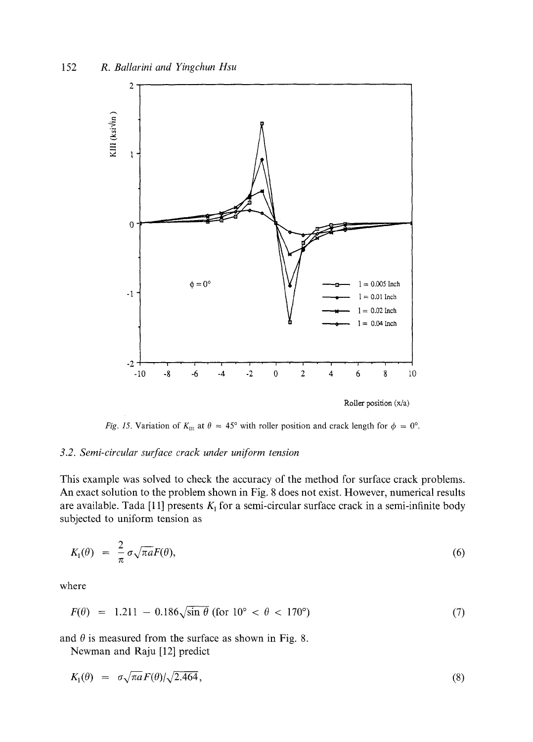

*Fig. 15.* Variation of  $K_{III}$  at  $\theta = 45^{\circ}$  with roller position and crack length for  $\phi = 0^{\circ}$ .

### *3.2. Semi-circular surface crack under uniform tension*

This example was solved to check the accuracy of the method for surface crack problems. An exact solution to the problem shown in Fig. 8 does not exist. However, numerical results are available. Tada [11] presents  $K_1$  for a semi-circular surface crack in a semi-infinite body subjected to uniform tension as

$$
K_1(\theta) = \frac{2}{\pi} \sigma \sqrt{\pi a} F(\theta), \tag{6}
$$

where

$$
F(\theta) = 1.211 - 0.186\sqrt{\sin \theta} \text{ (for } 10^{\circ} < \theta < 170^{\circ}) \tag{7}
$$

and  $\theta$  is measured from the surface as shown in Fig. 8.

Newman and Raju [12] predict

$$
K_1(\theta) = \sigma \sqrt{\pi a} F(\theta) / \sqrt{2.464}, \qquad (8)
$$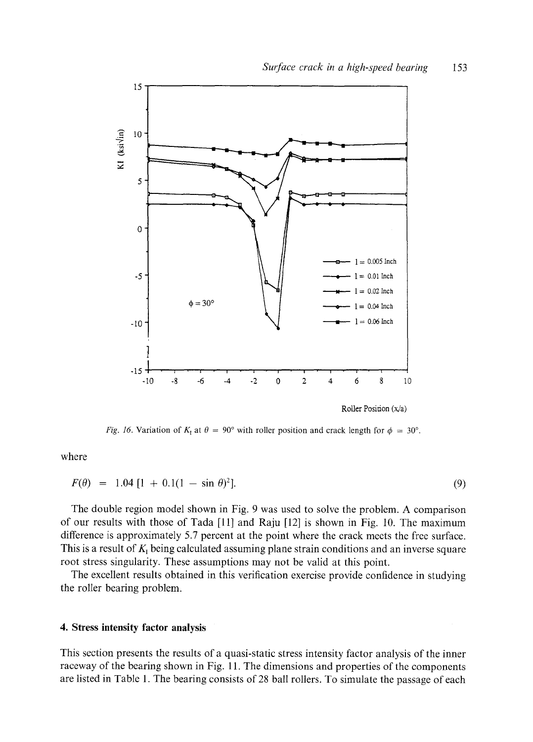

Roller Position  $(x/a)$ 

*Fig. 16.* Variation of  $K_t$  at  $\theta = 90^\circ$  with roller position and crack length for  $\phi = 30^\circ$ .

where

$$
F(\theta) = 1.04 \left[ 1 + 0.1(1 - \sin \theta)^2 \right]. \tag{9}
$$

The double region model shown in Fig. 9 was used to solve the problem. A comparison of our results with those of Tada [11] and Raju [12] is shown in Fig. 10. The maximum difference is approximately 5.7 percent at the point where the crack meets the free surface. This is a result of  $K<sub>I</sub>$  being calculated assuming plane strain conditions and an inverse square root stress singularity. These assumptions may not be valid at this point.

The excellent results obtained in this verification exercise provide confidence in studying the roller bearing problem.

### **4. Stress intensity factor analysis**

This section presents the results of a quasi-static stress intensity factor analysis of the inner raceway of the bearing shown in Fig. 11. The dimensions and properties of the components are listed in Table 1. The bearing consists of 28 ball rollers. To simulate the passage of each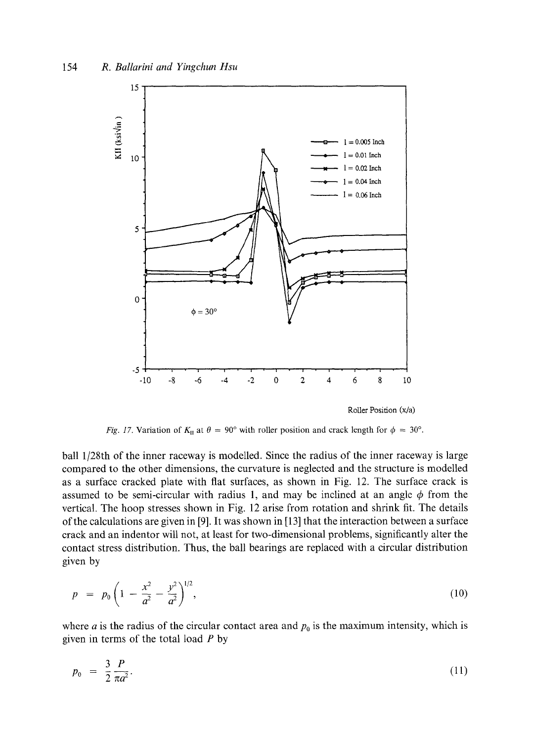

*Fig. 17.* Variation of  $K_{\text{II}}$  at  $\theta = 90^{\circ}$  with roller position and crack length for  $\phi = 30^{\circ}$ .

ball 1/28th of the inner raceway is modelled. Since the radius of the inner raceway is large compared to the other dimensions, the curvature is neglected and the structure is modelled as a surface cracked plate with flat surfaces, as shown in Fig. 12. The surface crack is assumed to be semi-circular with radius 1, and may be inclined at an angle  $\phi$  from the vertical. The hoop stresses shown in Fig. 12 arise from rotation and shrink fit. The details of the calculations are given in [9]. It was shown in [13] that the interaction between a surface crack and an indentor will not, at least for two-dimensional problems, significantly alter the contact stress distribution. Thus, the ball bearings are replaced with a circular distribution given by

$$
p = p_0 \left( 1 - \frac{x^2}{a^2} - \frac{y^2}{a^2} \right)^{1/2}, \tag{10}
$$

where *a* is the radius of the circular contact area and  $p_0$  is the maximum intensity, which is given in terms of the total load  $P$  by

$$
p_0 = \frac{3}{2} \frac{P}{\pi a^2}.
$$
 (11)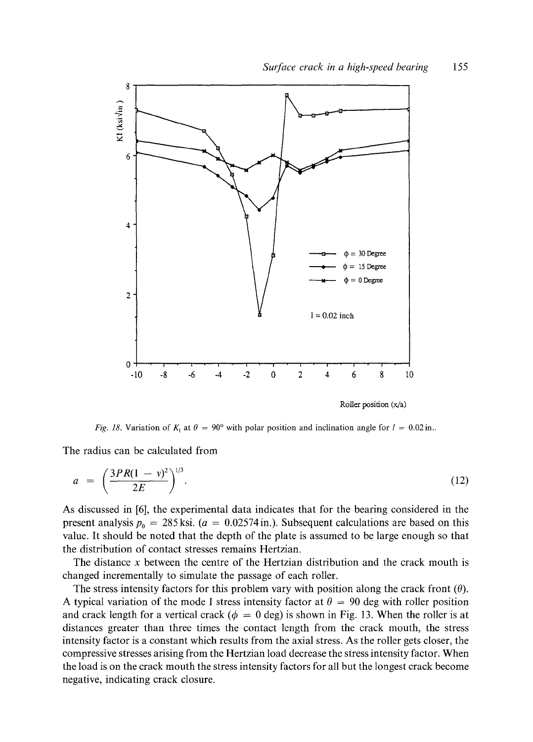

Roller position (x/a)

*Fig. 18.* Variation of K<sub>i</sub> at  $\theta = 90^{\circ}$  with polar position and inclination angle for  $l = 0.02$  in..

The radius can be calculated from

$$
a = \left(\frac{3PR(1 - v)^2}{2E}\right)^{1/3}.
$$
 (12)

As discussed in [6], the experimental data indicates that for the bearing considered in the present analysis  $p_0 = 285$  ksi. ( $a = 0.02574$  in.). Subsequent calculations are based on this value. It should be noted that the depth of the plate is assumed to be large enough so that the distribution of contact stresses remains Hertzian.

The distance x between the centre of the Hertzian distribution and the crack mouth is changed incrementally to simulate the passage of each roller.

The stress intensity factors for this problem vary with position along the crack front  $(\theta)$ . A typical variation of the mode I stress intensity factor at  $\theta = 90$  deg with roller position and crack length for a vertical crack ( $\phi = 0$  deg) is shown in Fig. 13. When the roller is at distances greater than three times the contact length from the crack mouth, the stress intensity factor is a constant which results from the axial stress. As the roller gets closer, the compressive stresses arising from the Hertzian load decrease the stress intensity factor. When the load is on the crack mouth the stress intensity factors for all but the longest crack become negative, indicating crack closure.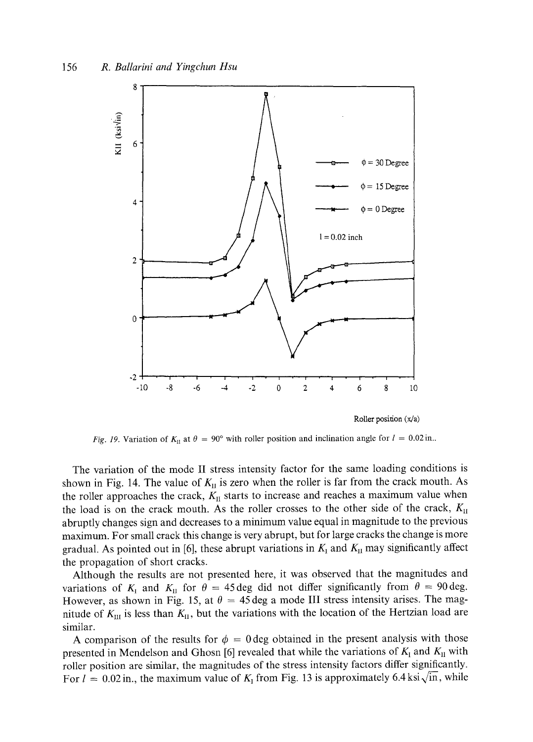

*Fig. 19.* Variation of  $K_{\text{H}}$  at  $\theta = 90^{\circ}$  with roller position and inclination angle for  $l = 0.02$  in..

The variation of the mode II stress intensity factor for the same loading conditions is shown in Fig. 14. The value of  $K_{II}$  is zero when the roller is far from the crack mouth. As the roller approaches the crack,  $K_{\text{II}}$  starts to increase and reaches a maximum value when the load is on the crack mouth. As the roller crosses to the other side of the crack,  $K_{II}$ abruptly changes sign and decreases to a minimum value equal in magnitude to the previous maximum. For small crack this change is very abrupt, but for large cracks the change is more gradual. As pointed out in [6], these abrupt variations in  $K_I$  and  $K_{II}$  may significantly affect the propagation of short cracks.

Although the results are not presented here, it was observed that the magnitudes and variations of  $K_{\text{I}}$  and  $K_{\text{II}}$  for  $\theta = 45 \text{ deg }$  did not differ significantly from  $\theta = 90 \text{ deg.}$ However, as shown in Fig. 15, at  $\theta = 45 \text{ deg a mode III stress intensity arises}$ . The magnitude of  $K_{III}$  is less than  $K_{II}$ , but the variations with the location of the Hertzian load are similar.

A comparison of the results for  $\phi = 0$  deg obtained in the present analysis with those presented in Mendelson and Ghosn [6] revealed that while the variations of  $K<sub>1</sub>$  and  $K<sub>II</sub>$  with roller position are similar, the magnitudes of the stress intensity factors differ significantly. For  $l = 0.02$  in., the maximum value of  $K_1$  from Fig. 13 is approximately 6.4 ksi $\sqrt{\text{in}}$ , while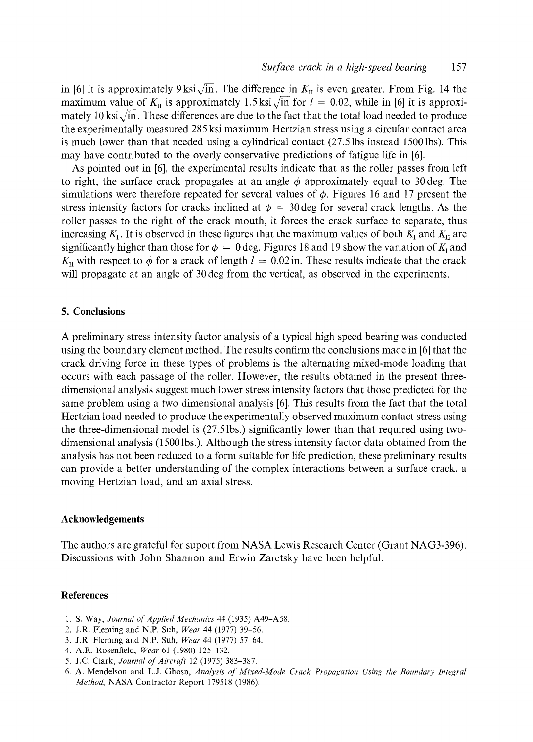in [6] it is approximately  $9 \text{ksi}\sqrt{\text{in}}$ . The difference in  $K_{\text{II}}$  is even greater. From Fig. 14 the maximum value of  $K_{\text{H}}$  is approximately 1.5 ksi $\sqrt{\text{in}}$  for  $l = 0.02$ , while in [6] it is approximately 10 ksi $\sqrt{m}$ . These differences are due to the fact that the total load needed to produce the'experimentally measured 285 ksi maximum Hertzian stress using a circular contact area is much lower than that needed using a cylindrical contact (27.51bs instead 15001bs). This may have contributed to the overly conservative predictions of fatigue life in [6].

As pointed out in [6], the experimental results indicate that as the roller passes from left to right, the surface crack propagates at an angle  $\phi$  approximately equal to 30 deg. The simulations were therefore repeated for several values of  $\phi$ . Figures 16 and 17 present the stress intensity factors for cracks inclined at  $\phi = 30$  deg for several crack lengths. As the roller passes to the right of the crack mouth, it forces the crack surface to separate, thus increasing  $K_1$ . It is observed in these figures that the maximum values of both  $K_1$  and  $K_{II}$  are significantly higher than those for  $\phi = 0$  deg. Figures 18 and 19 show the variation of  $K_1$  and  $K_{\text{II}}$  with respect to  $\phi$  for a crack of length  $I = 0.02$  in. These results indicate that the crack will propagate at an angle of 30 deg from the vertical, as observed in the experiments.

#### **5. Conclusions**

A preliminary stress intensity factor analysis of a typical high speed bearing was conducted using the boundary element method. The results confirm the conclusions made in [6] that the crack driving force in these types of problems is the alternating mixed-mode loading that occurs with each passage of the roller. However, the results obtained in the present threedimensional analysis suggest much lower stress intensity factors that those predicted for the same problem using a two-dimensional analysis [6]. This results from the fact that the total Hertzian load needed to produce the experimentally observed maximum contact stress using the three-dimensional model is (27.5 lbs.) significantly lower than that required using twodimensional analysis (1500 lbs.). Although the stress intensity factor data obtained from the analysis has not been reduced to a form suitable for life prediction, these preliminary results can provide a better understanding of the complex interactions between a surface crack, a moving Hertzian load, and an axial stress.

#### **Acknowledgements**

The authors are grateful for suport from NASA Lewis Research Center (Grant NAG3-396). Discussions with John Shannon and Erwin Zaretsky have been helpful.

#### **References**

- 1. S. Way, *Journal of Applied Mechanics* 44 (1935) A49-A58.
- 2. J.R. Fleming and N.P. Suh, *Wear* 44 (1977) 39-56.
- 3. J.R. Fleming and N.P. Suh, *Wear* 44 (1977) 57 64.
- 4. A.R. Rosenfield, *Wear* 61 (1980) 125-132.
- 5. J.C. Clark, *Journal of Aircraft* 12 (1975) 383-387.
- 6. A. Mendelson and L.J. Ghosn, *Analysis of Mixed-Mode Crack Propagation Using the Boundary Integral Method,* NASA Contractor Report 179518 (1986).